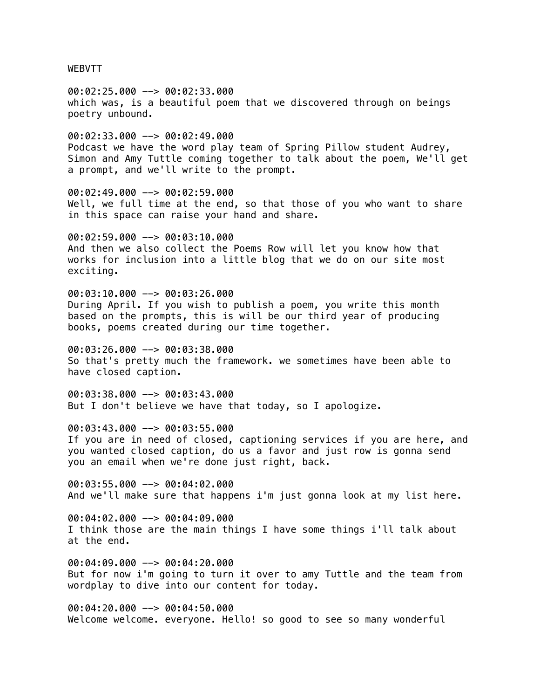WEBVTT

00:02:25.000 --> 00:02:33.000 which was, is a beautiful poem that we discovered through on beings poetry unbound. 00:02:33.000 --> 00:02:49.000

Podcast we have the word play team of Spring Pillow student Audrey, Simon and Amy Tuttle coming together to talk about the poem, We'll get a prompt, and we'll write to the prompt.

00:02:49.000 --> 00:02:59.000 Well, we full time at the end, so that those of you who want to share in this space can raise your hand and share.

00:02:59.000 --> 00:03:10.000 And then we also collect the Poems Row will let you know how that works for inclusion into a little blog that we do on our site most exciting.

00:03:10.000 --> 00:03:26.000 During April. If you wish to publish a poem, you write this month based on the prompts, this is will be our third year of producing books, poems created during our time together.

00:03:26.000 --> 00:03:38.000 So that's pretty much the framework. we sometimes have been able to have closed caption.

00:03:38.000 --> 00:03:43.000 But I don't believe we have that today, so I apologize.

00:03:43.000 --> 00:03:55.000 If you are in need of closed, captioning services if you are here, and you wanted closed caption, do us a favor and just row is gonna send you an email when we're done just right, back.

00:03:55.000 --> 00:04:02.000 And we'll make sure that happens i'm just gonna look at my list here.

00:04:02.000 --> 00:04:09.000 I think those are the main things I have some things i'll talk about at the end.

00:04:09.000 --> 00:04:20.000 But for now i'm going to turn it over to amy Tuttle and the team from wordplay to dive into our content for today.

00:04:20.000 --> 00:04:50.000 Welcome welcome. everyone. Hello! so good to see so many wonderful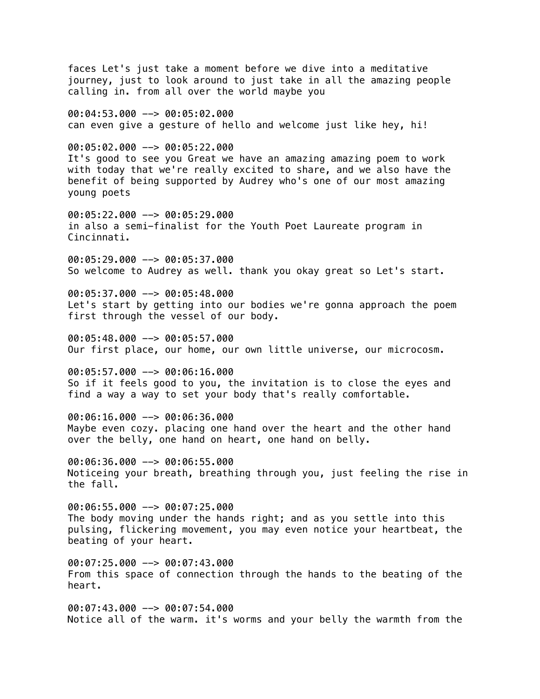faces Let's just take a moment before we dive into a meditative journey, just to look around to just take in all the amazing people calling in. from all over the world maybe you 00:04:53.000 --> 00:05:02.000 can even give a gesture of hello and welcome just like hey, hi! 00:05:02.000 --> 00:05:22.000 It's good to see you Great we have an amazing amazing poem to work with today that we're really excited to share, and we also have the benefit of being supported by Audrey who's one of our most amazing young poets 00:05:22.000 --> 00:05:29.000 in also a semi-finalist for the Youth Poet Laureate program in Cincinnati. 00:05:29.000 --> 00:05:37.000 So welcome to Audrey as well. thank you okay great so Let's start. 00:05:37.000 --> 00:05:48.000 Let's start by getting into our bodies we're gonna approach the poem first through the vessel of our body. 00:05:48.000 --> 00:05:57.000 Our first place, our home, our own little universe, our microcosm. 00:05:57.000 --> 00:06:16.000 So if it feels good to you, the invitation is to close the eyes and find a way a way to set your body that's really comfortable. 00:06:16.000 --> 00:06:36.000 Maybe even cozy. placing one hand over the heart and the other hand over the belly, one hand on heart, one hand on belly. 00:06:36.000 --> 00:06:55.000 Noticeing your breath, breathing through you, just feeling the rise in the fall. 00:06:55.000 --> 00:07:25.000 The body moving under the hands right; and as you settle into this pulsing, flickering movement, you may even notice your heartbeat, the beating of your heart. 00:07:25.000 --> 00:07:43.000 From this space of connection through the hands to the beating of the heart. 00:07:43.000 --> 00:07:54.000 Notice all of the warm. it's worms and your belly the warmth from the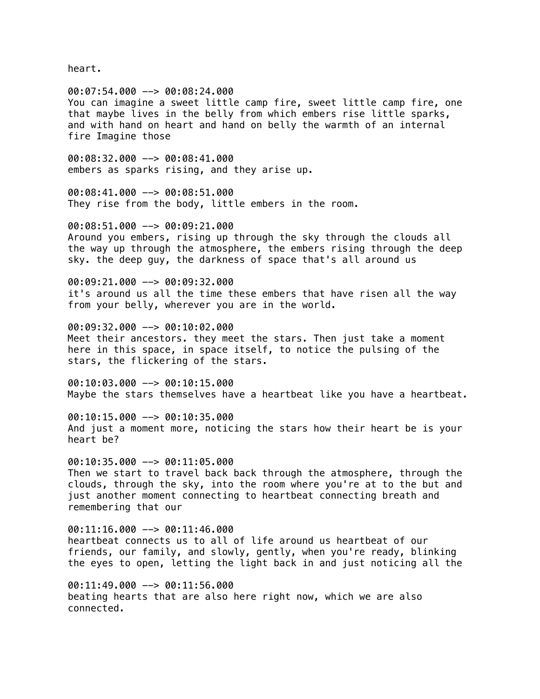heart.

00:07:54.000 --> 00:08:24.000 You can imagine a sweet little camp fire, sweet little camp fire, one that maybe lives in the belly from which embers rise little sparks, and with hand on heart and hand on belly the warmth of an internal fire Imagine those

00:08:32.000 --> 00:08:41.000 embers as sparks rising, and they arise up.

00:08:41.000 --> 00:08:51.000 They rise from the body, little embers in the room.

00:08:51.000 --> 00:09:21.000 Around you embers, rising up through the sky through the clouds all the way up through the atmosphere, the embers rising through the deep sky. the deep guy, the darkness of space that's all around us

00:09:21.000 --> 00:09:32.000 it's around us all the time these embers that have risen all the way from your belly, wherever you are in the world.

00:09:32.000 --> 00:10:02.000 Meet their ancestors. they meet the stars. Then just take a moment here in this space, in space itself, to notice the pulsing of the stars, the flickering of the stars.

00:10:03.000 --> 00:10:15.000 Maybe the stars themselves have a heartbeat like you have a heartbeat.

00:10:15.000 --> 00:10:35.000 And just a moment more, noticing the stars how their heart be is your heart be?

00:10:35.000 --> 00:11:05.000 Then we start to travel back back through the atmosphere, through the clouds, through the sky, into the room where you're at to the but and just another moment connecting to heartbeat connecting breath and remembering that our

00:11:16.000 --> 00:11:46.000 heartbeat connects us to all of life around us heartbeat of our friends, our family, and slowly, gently, when you're ready, blinking the eyes to open, letting the light back in and just noticing all the

00:11:49.000 --> 00:11:56.000 beating hearts that are also here right now, which we are also connected.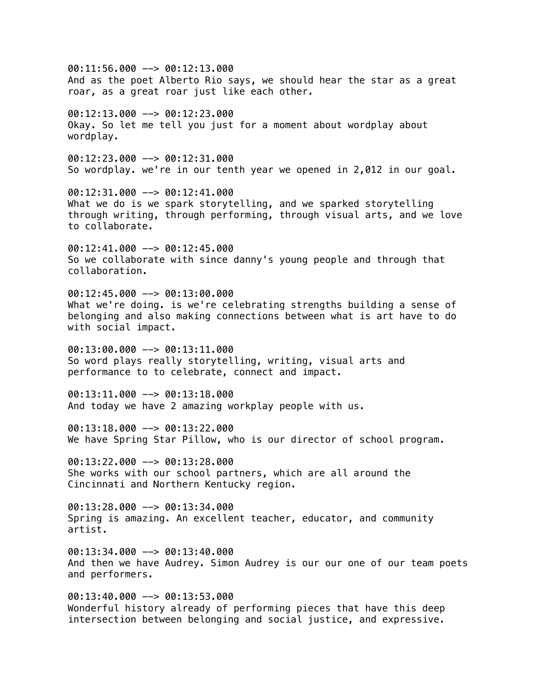00:11:56.000 --> 00:12:13.000 And as the poet Alberto Rio says, we should hear the star as a great roar, as a great roar just like each other.  $00:12:13.000$  -->  $00:12:23.000$ Okay. So let me tell you just for a moment about wordplay about wordplay. 00:12:23.000 --> 00:12:31.000 So wordplay. we're in our tenth year we opened in 2,012 in our goal. 00:12:31.000 --> 00:12:41.000 What we do is we spark storytelling, and we sparked storytelling through writing, through performing, through visual arts, and we love to collaborate. 00:12:41.000 --> 00:12:45.000 So we collaborate with since danny's young people and through that collaboration.  $0.12:45.000$   $\rightarrow$  00:13:00.000 What we're doing. is we're celebrating strengths building a sense of belonging and also making connections between what is art have to do with social impact. 00:13:00.000 --> 00:13:11.000 So word plays really storytelling, writing, visual arts and performance to to celebrate, connect and impact.  $00:13:11.000$  -->  $00:13:18.000$ And today we have 2 amazing workplay people with us. 00:13:18.000 --> 00:13:22.000 We have Spring Star Pillow, who is our director of school program. 00:13:22.000 --> 00:13:28.000 She works with our school partners, which are all around the Cincinnati and Northern Kentucky region.  $00:13:28.000$  -->  $00:13:34.000$ Spring is amazing. An excellent teacher, educator, and community artist. 00:13:34.000 --> 00:13:40.000 And then we have Audrey. Simon Audrey is our our one of our team poets and performers. 00:13:40.000 --> 00:13:53.000 Wonderful history already of performing pieces that have this deep intersection between belonging and social justice, and expressive.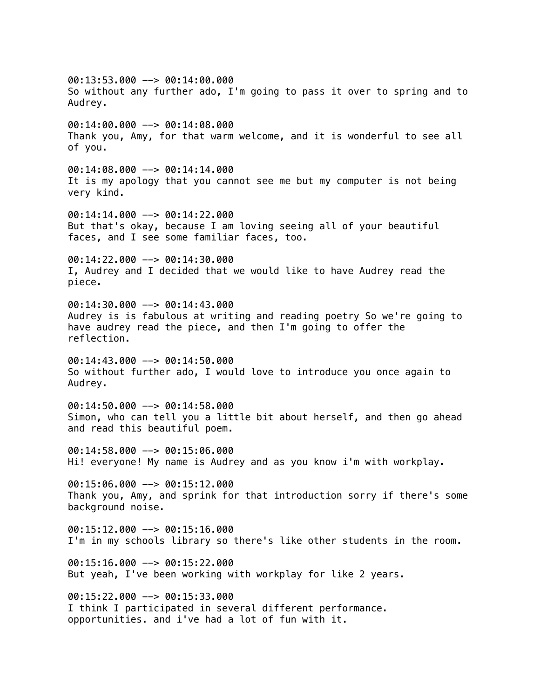$00:13:53.000$  -->  $00:14:00.000$ So without any further ado, I'm going to pass it over to spring and to Audrey. 00:14:00.000 --> 00:14:08.000 Thank you, Amy, for that warm welcome, and it is wonderful to see all of you. 00:14:08.000 --> 00:14:14.000 It is my apology that you cannot see me but my computer is not being very kind. 00:14:14.000 --> 00:14:22.000 But that's okay, because I am loving seeing all of your beautiful faces, and I see some familiar faces, too. 00:14:22.000 --> 00:14:30.000 I, Audrey and I decided that we would like to have Audrey read the piece. 00:14:30.000 --> 00:14:43.000 Audrey is is fabulous at writing and reading poetry So we're going to have audrey read the piece, and then I'm going to offer the reflection.  $00:14:43.000$  -->  $00:14:50.000$ So without further ado, I would love to introduce you once again to Audrey. 00:14:50.000 --> 00:14:58.000 Simon, who can tell you a little bit about herself, and then go ahead and read this beautiful poem. 00:14:58.000 --> 00:15:06.000 Hi! everyone! My name is Audrey and as you know i'm with workplay. 00:15:06.000 --> 00:15:12.000 Thank you, Amy, and sprink for that introduction sorry if there's some background noise. 00:15:12.000 --> 00:15:16.000 I'm in my schools library so there's like other students in the room. 00:15:16.000 --> 00:15:22.000 But yeah, I've been working with workplay for like 2 years. 00:15:22.000 --> 00:15:33.000 I think I participated in several different performance. opportunities. and i've had a lot of fun with it.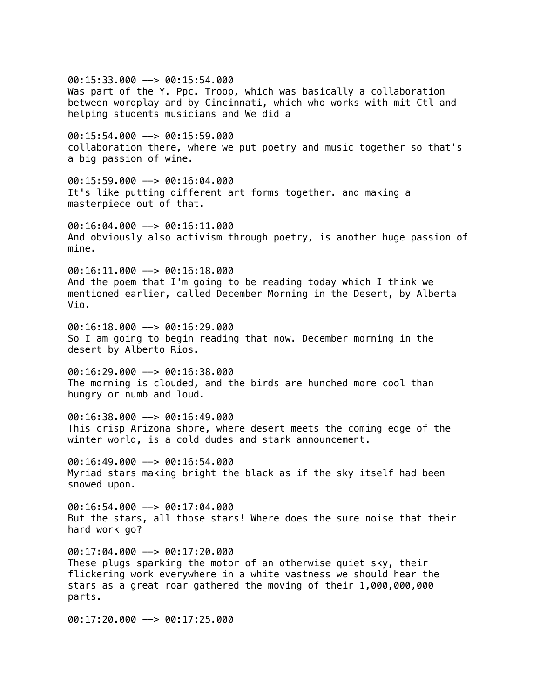00:15:33.000 --> 00:15:54.000 Was part of the Y. Ppc. Troop, which was basically a collaboration between wordplay and by Cincinnati, which who works with mit Ctl and helping students musicians and We did a 00:15:54.000 --> 00:15:59.000 collaboration there, where we put poetry and music together so that's a big passion of wine. 00:15:59.000 --> 00:16:04.000 It's like putting different art forms together. and making a masterpiece out of that. 00:16:04.000 --> 00:16:11.000 And obviously also activism through poetry, is another huge passion of mine. 00:16:11.000 --> 00:16:18.000 And the poem that I'm going to be reading today which I think we mentioned earlier, called December Morning in the Desert, by Alberta Vio.  $00:16:18.000$   $\rightarrow$  00:16:29.000 So I am going to begin reading that now. December morning in the desert by Alberto Rios.  $00:16:29.000$  -->  $00:16:38.000$ The morning is clouded, and the birds are hunched more cool than hungry or numb and loud. 00:16:38.000 --> 00:16:49.000 This crisp Arizona shore, where desert meets the coming edge of the winter world, is a cold dudes and stark announcement. 00:16:49.000 --> 00:16:54.000 Myriad stars making bright the black as if the sky itself had been snowed upon.  $00:16:54.000$  -->  $00:17:04.000$ But the stars, all those stars! Where does the sure noise that their

00:17:04.000 --> 00:17:20.000 These plugs sparking the motor of an otherwise quiet sky, their flickering work everywhere in a white vastness we should hear the stars as a great roar gathered the moving of their 1,000,000,000 parts.

00:17:20.000 --> 00:17:25.000

hard work go?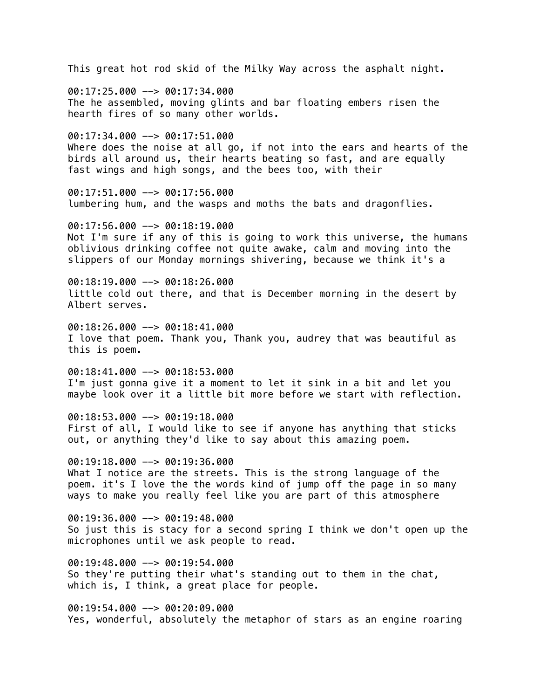This great hot rod skid of the Milky Way across the asphalt night. 00:17:25.000 --> 00:17:34.000 The he assembled, moving glints and bar floating embers risen the hearth fires of so many other worlds. 00:17:34.000 --> 00:17:51.000 Where does the noise at all go, if not into the ears and hearts of the birds all around us, their hearts beating so fast, and are equally fast wings and high songs, and the bees too, with their 00:17:51.000 --> 00:17:56.000 lumbering hum, and the wasps and moths the bats and dragonflies. 00:17:56.000 --> 00:18:19.000 Not I'm sure if any of this is going to work this universe, the humans oblivious drinking coffee not quite awake, calm and moving into the slippers of our Monday mornings shivering, because we think it's a  $00:18:19.000$  -->  $00:18:26.000$ little cold out there, and that is December morning in the desert by Albert serves.  $00:18:26.000$   $\rightarrow$  00:18:41.000 I love that poem. Thank you, Thank you, audrey that was beautiful as this is poem. 00:18:41.000 --> 00:18:53.000 I'm just gonna give it a moment to let it sink in a bit and let you maybe look over it a little bit more before we start with reflection. 00:18:53.000 --> 00:19:18.000 First of all, I would like to see if anyone has anything that sticks out, or anything they'd like to say about this amazing poem. 00:19:18.000 --> 00:19:36.000 What I notice are the streets. This is the strong language of the poem. it's I love the the words kind of jump off the page in so many ways to make you really feel like you are part of this atmosphere 00:19:36.000 --> 00:19:48.000 So just this is stacy for a second spring I think we don't open up the microphones until we ask people to read. 00:19:48.000 --> 00:19:54.000 So they're putting their what's standing out to them in the chat, which is, I think, a great place for people. 00:19:54.000 --> 00:20:09.000 Yes, wonderful, absolutely the metaphor of stars as an engine roaring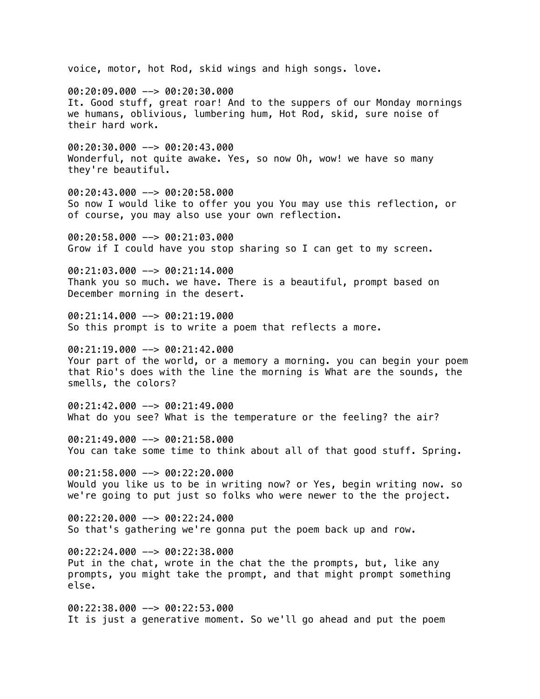voice, motor, hot Rod, skid wings and high songs. love. 00:20:09.000 --> 00:20:30.000 It. Good stuff, great roar! And to the suppers of our Monday mornings we humans, oblivious, lumbering hum, Hot Rod, skid, sure noise of their hard work. 00:20:30.000 --> 00:20:43.000 Wonderful, not quite awake. Yes, so now Oh, wow! we have so many they're beautiful. 00:20:43.000 --> 00:20:58.000 So now I would like to offer you you You may use this reflection, or of course, you may also use your own reflection. 00:20:58.000 --> 00:21:03.000 Grow if I could have you stop sharing so I can get to my screen. 00:21:03.000 --> 00:21:14.000 Thank you so much. we have. There is a beautiful, prompt based on December morning in the desert. 00:21:14.000 --> 00:21:19.000 So this prompt is to write a poem that reflects a more. 00:21:19.000 --> 00:21:42.000 Your part of the world, or a memory a morning. you can begin your poem that Rio's does with the line the morning is What are the sounds, the smells, the colors? 00:21:42.000 --> 00:21:49.000 What do you see? What is the temperature or the feeling? the air? 00:21:49.000 --> 00:21:58.000 You can take some time to think about all of that good stuff. Spring.  $00:21:58.000$  -->  $00:22:20.000$ Would you like us to be in writing now? or Yes, begin writing now. so we're going to put just so folks who were newer to the the project. 00:22:20.000 --> 00:22:24.000 So that's gathering we're gonna put the poem back up and row. 00:22:24.000 --> 00:22:38.000 Put in the chat, wrote in the chat the the prompts, but, like any prompts, you might take the prompt, and that might prompt something else. 00:22:38.000 --> 00:22:53.000 It is just a generative moment. So we'll go ahead and put the poem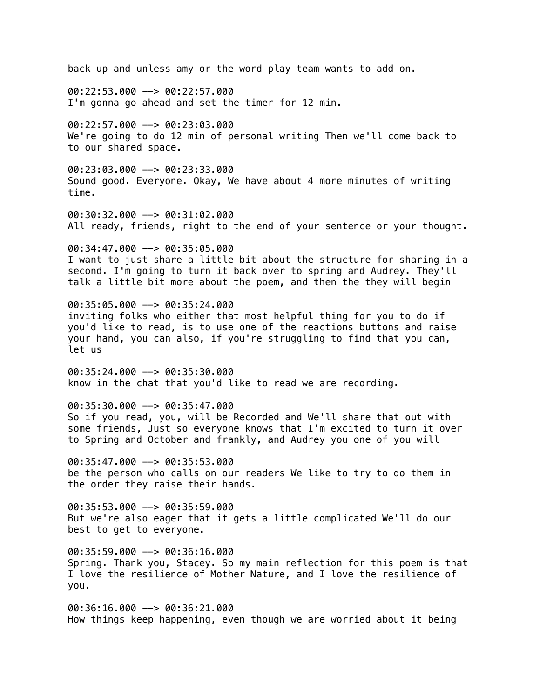back up and unless amy or the word play team wants to add on. 00:22:53.000 --> 00:22:57.000 I'm gonna go ahead and set the timer for 12 min. 00:22:57.000 --> 00:23:03.000 We're going to do 12 min of personal writing Then we'll come back to to our shared space. 00:23:03.000 --> 00:23:33.000 Sound good. Everyone. Okay, We have about 4 more minutes of writing time. 00:30:32.000 --> 00:31:02.000 All ready, friends, right to the end of your sentence or your thought. 00:34:47.000 --> 00:35:05.000 I want to just share a little bit about the structure for sharing in a second. I'm going to turn it back over to spring and Audrey. They'll talk a little bit more about the poem, and then the they will begin 00:35:05.000 --> 00:35:24.000 inviting folks who either that most helpful thing for you to do if you'd like to read, is to use one of the reactions buttons and raise your hand, you can also, if you're struggling to find that you can, let us 00:35:24.000 --> 00:35:30.000 know in the chat that you'd like to read we are recording. 00:35:30.000 --> 00:35:47.000 So if you read, you, will be Recorded and We'll share that out with some friends, Just so everyone knows that I'm excited to turn it over to Spring and October and frankly, and Audrey you one of you will 00:35:47.000 --> 00:35:53.000 be the person who calls on our readers We like to try to do them in the order they raise their hands. 00:35:53.000 --> 00:35:59.000 But we're also eager that it gets a little complicated We'll do our best to get to everyone. 00:35:59.000 --> 00:36:16.000 Spring. Thank you, Stacey. So my main reflection for this poem is that I love the resilience of Mother Nature, and I love the resilience of you. 00:36:16.000 --> 00:36:21.000 How things keep happening, even though we are worried about it being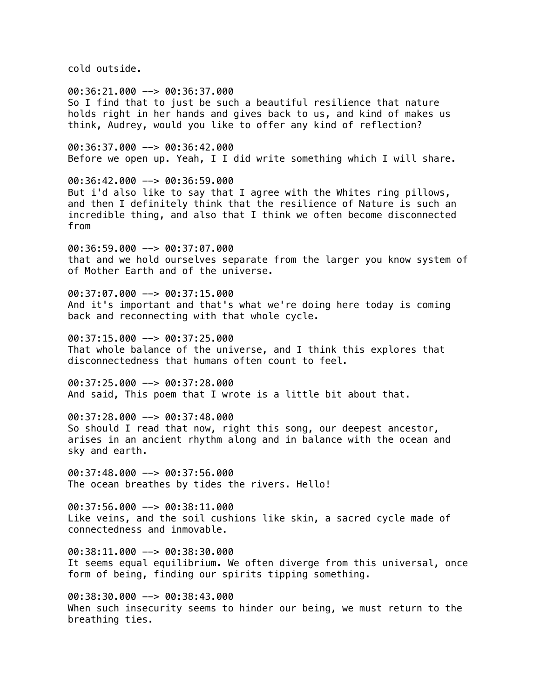cold outside.

00:36:21.000 --> 00:36:37.000 So I find that to just be such a beautiful resilience that nature holds right in her hands and gives back to us, and kind of makes us think, Audrey, would you like to offer any kind of reflection?

00:36:37.000 --> 00:36:42.000 Before we open up. Yeah, I I did write something which I will share.

00:36:42.000 --> 00:36:59.000 But i'd also like to say that I agree with the Whites ring pillows, and then I definitely think that the resilience of Nature is such an incredible thing, and also that I think we often become disconnected from

00:36:59.000 --> 00:37:07.000 that and we hold ourselves separate from the larger you know system of of Mother Earth and of the universe.

00:37:07.000 --> 00:37:15.000 And it's important and that's what we're doing here today is coming back and reconnecting with that whole cycle.

 $00:37:15.000$  -->  $00:37:25.000$ That whole balance of the universe, and I think this explores that disconnectedness that humans often count to feel.

00:37:25.000 --> 00:37:28.000 And said, This poem that I wrote is a little bit about that.

00:37:28.000 --> 00:37:48.000 So should I read that now, right this song, our deepest ancestor, arises in an ancient rhythm along and in balance with the ocean and sky and earth.

 $00:37:48.000$  -->  $00:37:56.000$ The ocean breathes by tides the rivers. Hello!

00:37:56.000 --> 00:38:11.000 Like veins, and the soil cushions like skin, a sacred cycle made of connectedness and inmovable.

00:38:11.000 --> 00:38:30.000 It seems equal equilibrium. We often diverge from this universal, once form of being, finding our spirits tipping something.

00:38:30.000 --> 00:38:43.000 When such insecurity seems to hinder our being, we must return to the breathing ties.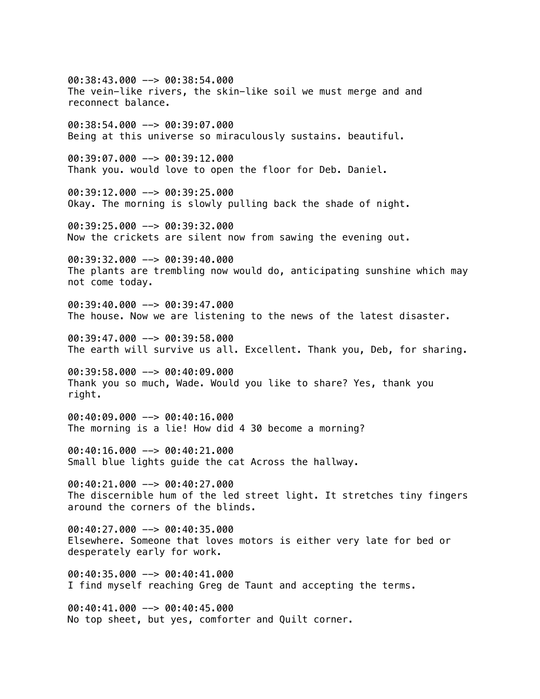00:38:43.000 --> 00:38:54.000 The vein-like rivers, the skin-like soil we must merge and and reconnect balance. 00:38:54.000 --> 00:39:07.000 Being at this universe so miraculously sustains. beautiful. 00:39:07.000 --> 00:39:12.000 Thank you. would love to open the floor for Deb. Daniel. 00:39:12.000 --> 00:39:25.000 Okay. The morning is slowly pulling back the shade of night. 00:39:25.000 --> 00:39:32.000 Now the crickets are silent now from sawing the evening out. 00:39:32.000 --> 00:39:40.000 The plants are trembling now would do, anticipating sunshine which may not come today. 00:39:40.000 --> 00:39:47.000 The house. Now we are listening to the news of the latest disaster. 00:39:47.000 --> 00:39:58.000 The earth will survive us all. Excellent. Thank you, Deb, for sharing. 00:39:58.000 --> 00:40:09.000 Thank you so much, Wade. Would you like to share? Yes, thank you right. 00:40:09.000 --> 00:40:16.000 The morning is a lie! How did 4 30 become a morning? 00:40:16.000 --> 00:40:21.000 Small blue lights guide the cat Across the hallway. 00:40:21.000 --> 00:40:27.000 The discernible hum of the led street light. It stretches tiny fingers around the corners of the blinds. 00:40:27.000 --> 00:40:35.000 Elsewhere. Someone that loves motors is either very late for bed or desperately early for work. 00:40:35.000 --> 00:40:41.000 I find myself reaching Greg de Taunt and accepting the terms. 00:40:41.000 --> 00:40:45.000 No top sheet, but yes, comforter and Quilt corner.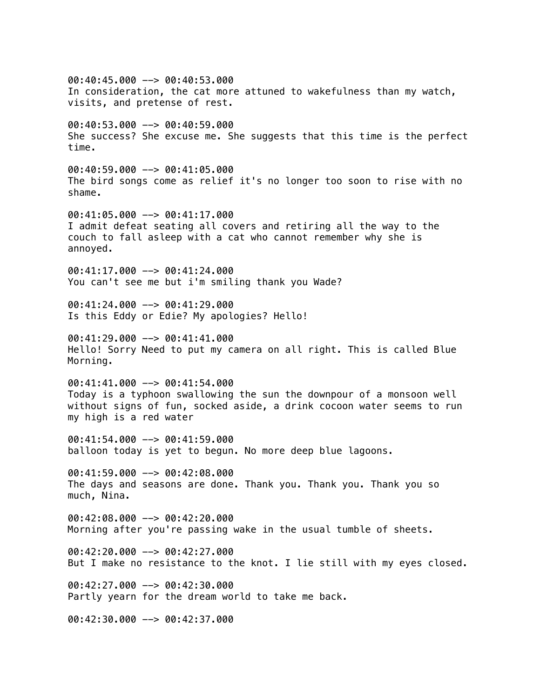00:40:45.000 --> 00:40:53.000 In consideration, the cat more attuned to wakefulness than my watch, visits, and pretense of rest. 00:40:53.000 --> 00:40:59.000 She success? She excuse me. She suggests that this time is the perfect time. 00:40:59.000 --> 00:41:05.000 The bird songs come as relief it's no longer too soon to rise with no shame. 00:41:05.000 --> 00:41:17.000 I admit defeat seating all covers and retiring all the way to the couch to fall asleep with a cat who cannot remember why she is annoyed. 00:41:17.000 --> 00:41:24.000 You can't see me but i'm smiling thank you Wade?  $00:41:24.000$  -->  $00:41:29.000$ Is this Eddy or Edie? My apologies? Hello!  $0.41:29.000$  -->  $0.01:41:41.000$ Hello! Sorry Need to put my camera on all right. This is called Blue Morning. 00:41:41.000 --> 00:41:54.000 Today is a typhoon swallowing the sun the downpour of a monsoon well without signs of fun, socked aside, a drink cocoon water seems to run my high is a red water 00:41:54.000 --> 00:41:59.000 balloon today is yet to begun. No more deep blue lagoons.  $00:41:59.000$  -->  $00:42:08.000$ The days and seasons are done. Thank you. Thank you. Thank you so much, Nina. 00:42:08.000 --> 00:42:20.000 Morning after you're passing wake in the usual tumble of sheets. 00:42:20.000 --> 00:42:27.000 But I make no resistance to the knot. I lie still with my eyes closed. 00:42:27.000 --> 00:42:30.000 Partly yearn for the dream world to take me back. 00:42:30.000 --> 00:42:37.000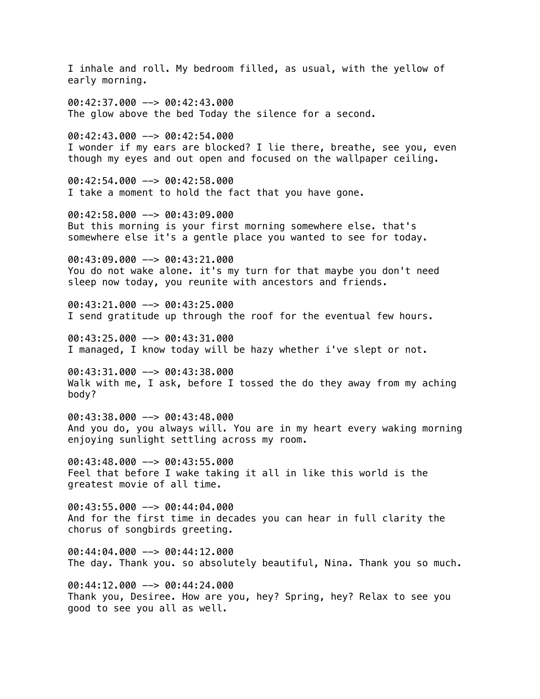I inhale and roll. My bedroom filled, as usual, with the yellow of early morning. 00:42:37.000 --> 00:42:43.000 The glow above the bed Today the silence for a second. 00:42:43.000 --> 00:42:54.000 I wonder if my ears are blocked? I lie there, breathe, see you, even though my eyes and out open and focused on the wallpaper ceiling. 00:42:54.000 --> 00:42:58.000 I take a moment to hold the fact that you have gone. 00:42:58.000 --> 00:43:09.000 But this morning is your first morning somewhere else. that's somewhere else it's a gentle place you wanted to see for today. 00:43:09.000 --> 00:43:21.000 You do not wake alone. it's my turn for that maybe you don't need sleep now today, you reunite with ancestors and friends. 00:43:21.000 --> 00:43:25.000 I send gratitude up through the roof for the eventual few hours. 00:43:25.000 --> 00:43:31.000 I managed, I know today will be hazy whether i've slept or not. 00:43:31.000 --> 00:43:38.000 Walk with me, I ask, before I tossed the do they away from my aching body? 00:43:38.000 --> 00:43:48.000 And you do, you always will. You are in my heart every waking morning enjoying sunlight settling across my room. 00:43:48.000 --> 00:43:55.000 Feel that before I wake taking it all in like this world is the greatest movie of all time. 00:43:55.000 --> 00:44:04.000 And for the first time in decades you can hear in full clarity the chorus of songbirds greeting. 00:44:04.000 --> 00:44:12.000 The day. Thank you. so absolutely beautiful, Nina. Thank you so much. 00:44:12.000 --> 00:44:24.000 Thank you, Desiree. How are you, hey? Spring, hey? Relax to see you good to see you all as well.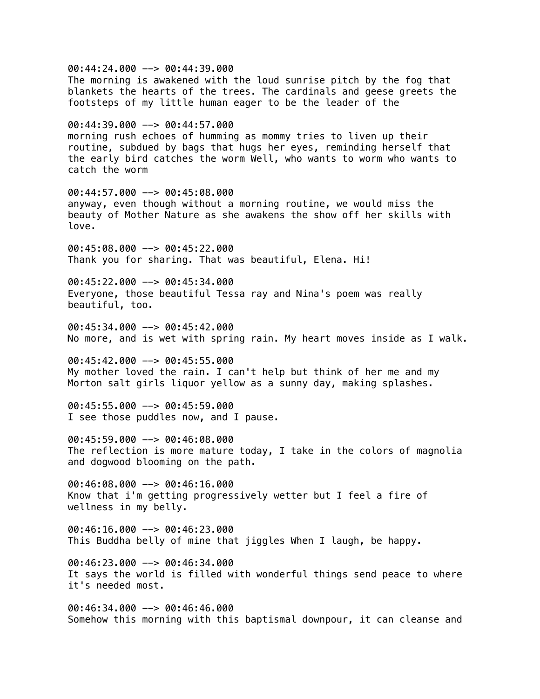00:44:24.000 --> 00:44:39.000 The morning is awakened with the loud sunrise pitch by the fog that blankets the hearts of the trees. The cardinals and geese greets the footsteps of my little human eager to be the leader of the 00:44:39.000 --> 00:44:57.000 morning rush echoes of humming as mommy tries to liven up their routine, subdued by bags that hugs her eyes, reminding herself that the early bird catches the worm Well, who wants to worm who wants to catch the worm 00:44:57.000 --> 00:45:08.000 anyway, even though without a morning routine, we would miss the beauty of Mother Nature as she awakens the show off her skills with love. 00:45:08.000 --> 00:45:22.000 Thank you for sharing. That was beautiful, Elena. Hi! 00:45:22.000 --> 00:45:34.000 Everyone, those beautiful Tessa ray and Nina's poem was really beautiful, too. 00:45:34.000 --> 00:45:42.000 No more, and is wet with spring rain. My heart moves inside as I walk. 00:45:42.000 --> 00:45:55.000 My mother loved the rain. I can't help but think of her me and my Morton salt girls liquor yellow as a sunny day, making splashes. 00:45:55.000 --> 00:45:59.000 I see those puddles now, and I pause. 00:45:59.000 --> 00:46:08.000 The reflection is more mature today, I take in the colors of magnolia and dogwood blooming on the path. 00:46:08.000 --> 00:46:16.000 Know that i'm getting progressively wetter but I feel a fire of wellness in my belly. 00:46:16.000 --> 00:46:23.000 This Buddha belly of mine that jiggles When I laugh, be happy. 00:46:23.000 --> 00:46:34.000 It says the world is filled with wonderful things send peace to where it's needed most. 00:46:34.000 --> 00:46:46.000 Somehow this morning with this baptismal downpour, it can cleanse and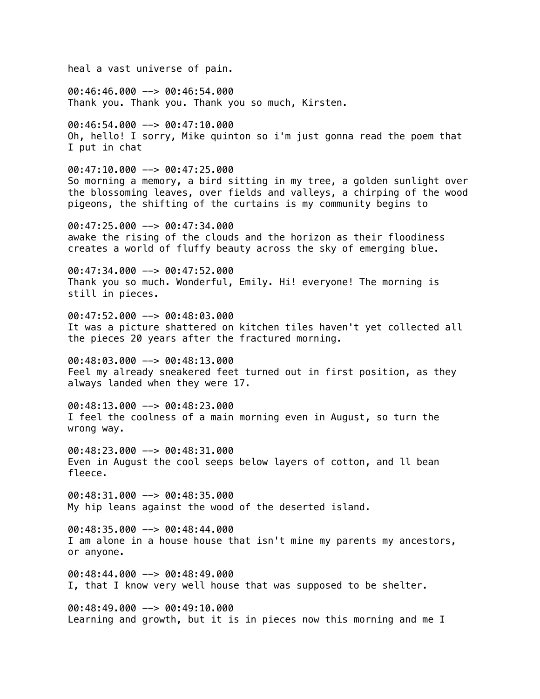heal a vast universe of pain. 00:46:46.000 --> 00:46:54.000 Thank you. Thank you. Thank you so much, Kirsten. 00:46:54.000 --> 00:47:10.000 Oh, hello! I sorry, Mike quinton so i'm just gonna read the poem that I put in chat 00:47:10.000 --> 00:47:25.000 So morning a memory, a bird sitting in my tree, a golden sunlight over the blossoming leaves, over fields and valleys, a chirping of the wood pigeons, the shifting of the curtains is my community begins to 00:47:25.000 --> 00:47:34.000 awake the rising of the clouds and the horizon as their floodiness creates a world of fluffy beauty across the sky of emerging blue. 00:47:34.000 --> 00:47:52.000 Thank you so much. Wonderful, Emily. Hi! everyone! The morning is still in pieces. 00:47:52.000 --> 00:48:03.000 It was a picture shattered on kitchen tiles haven't yet collected all the pieces 20 years after the fractured morning. 00:48:03.000 --> 00:48:13.000 Feel my already sneakered feet turned out in first position, as they always landed when they were 17. 00:48:13.000 --> 00:48:23.000 I feel the coolness of a main morning even in August, so turn the wrong way. 00:48:23.000 --> 00:48:31.000 Even in August the cool seeps below layers of cotton, and ll bean fleece. 00:48:31.000 --> 00:48:35.000 My hip leans against the wood of the deserted island. 00:48:35.000 --> 00:48:44.000 I am alone in a house house that isn't mine my parents my ancestors, or anyone. 00:48:44.000 --> 00:48:49.000 I, that I know very well house that was supposed to be shelter. 00:48:49.000 --> 00:49:10.000 Learning and growth, but it is in pieces now this morning and me I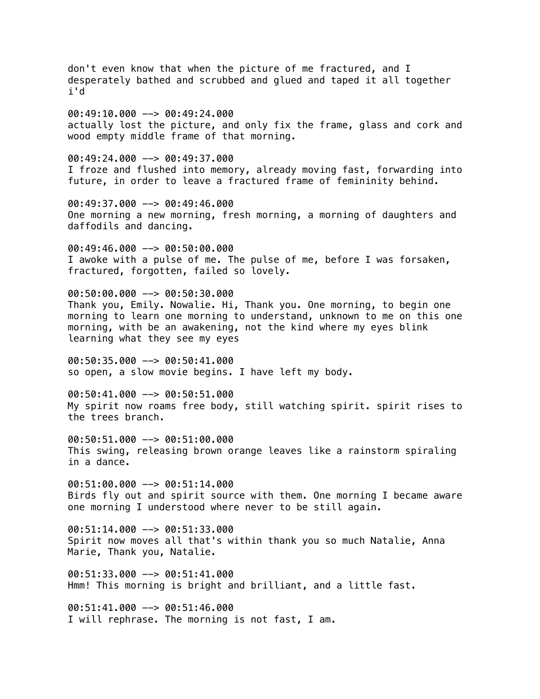don't even know that when the picture of me fractured, and I desperately bathed and scrubbed and glued and taped it all together i'd 00:49:10.000 --> 00:49:24.000 actually lost the picture, and only fix the frame, glass and cork and wood empty middle frame of that morning.  $00:49:24.000$  -->  $00:49:37.000$ I froze and flushed into memory, already moving fast, forwarding into future, in order to leave a fractured frame of femininity behind. 00:49:37.000 --> 00:49:46.000 One morning a new morning, fresh morning, a morning of daughters and daffodils and dancing. 00:49:46.000 --> 00:50:00.000 I awoke with a pulse of me. The pulse of me, before I was forsaken, fractured, forgotten, failed so lovely. 00:50:00.000 --> 00:50:30.000 Thank you, Emily. Nowalie. Hi, Thank you. One morning, to begin one morning to learn one morning to understand, unknown to me on this one morning, with be an awakening, not the kind where my eyes blink learning what they see my eyes  $00:50:35.000$   $\rightarrow$  00:50:41.000 so open, a slow movie begins. I have left my body. 00:50:41.000 --> 00:50:51.000 My spirit now roams free body, still watching spirit. spirit rises to the trees branch. 00:50:51.000 --> 00:51:00.000 This swing, releasing brown orange leaves like a rainstorm spiraling in a dance. 00:51:00.000 --> 00:51:14.000 Birds fly out and spirit source with them. One morning I became aware one morning I understood where never to be still again. 00:51:14.000 --> 00:51:33.000 Spirit now moves all that's within thank you so much Natalie, Anna Marie, Thank you, Natalie. 00:51:33.000 --> 00:51:41.000 Hmm! This morning is bright and brilliant, and a little fast. 00:51:41.000 --> 00:51:46.000 I will rephrase. The morning is not fast, I am.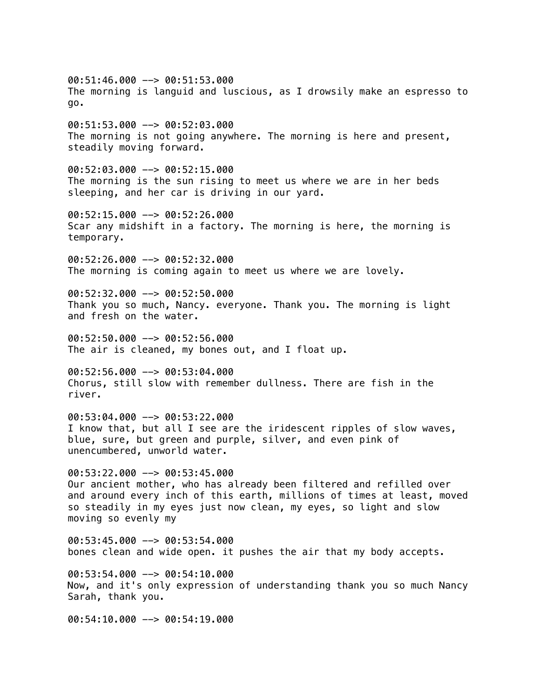00:51:46.000 --> 00:51:53.000 The morning is languid and luscious, as I drowsily make an espresso to go.

00:51:53.000 --> 00:52:03.000 The morning is not going anywhere. The morning is here and present, steadily moving forward.

00:52:03.000 --> 00:52:15.000 The morning is the sun rising to meet us where we are in her beds sleeping, and her car is driving in our yard.

00:52:15.000 --> 00:52:26.000 Scar any midshift in a factory. The morning is here, the morning is temporary.

00:52:26.000 --> 00:52:32.000 The morning is coming again to meet us where we are lovely.

00:52:32.000 --> 00:52:50.000 Thank you so much, Nancy. everyone. Thank you. The morning is light and fresh on the water.

00:52:50.000 --> 00:52:56.000 The air is cleaned, my bones out, and I float up.

00:52:56.000 --> 00:53:04.000 Chorus, still slow with remember dullness. There are fish in the river.

00:53:04.000 --> 00:53:22.000 I know that, but all I see are the iridescent ripples of slow waves, blue, sure, but green and purple, silver, and even pink of unencumbered, unworld water.

 $00:53:22.000$  -->  $00:53:45.000$ Our ancient mother, who has already been filtered and refilled over and around every inch of this earth, millions of times at least, moved so steadily in my eyes just now clean, my eyes, so light and slow moving so evenly my

00:53:45.000 --> 00:53:54.000 bones clean and wide open. it pushes the air that my body accepts.

00:53:54.000 --> 00:54:10.000 Now, and it's only expression of understanding thank you so much Nancy Sarah, thank you.

00:54:10.000 --> 00:54:19.000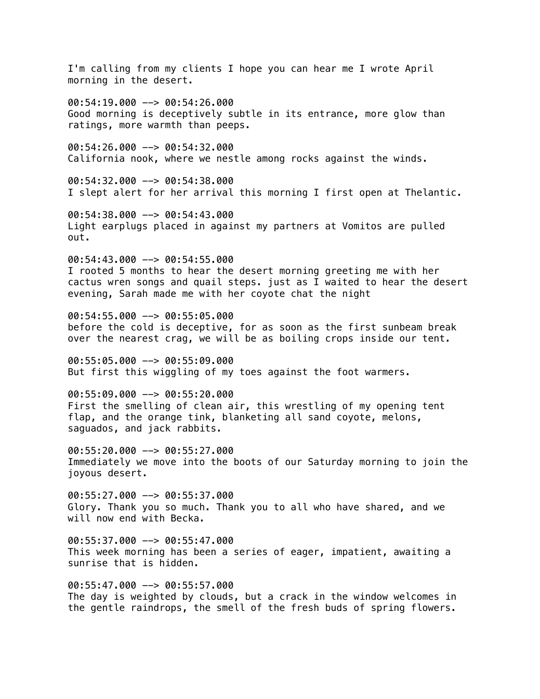I'm calling from my clients I hope you can hear me I wrote April morning in the desert.

00:54:19.000 --> 00:54:26.000 Good morning is deceptively subtle in its entrance, more glow than ratings, more warmth than peeps.

00:54:26.000 --> 00:54:32.000 California nook, where we nestle among rocks against the winds.

00:54:32.000 --> 00:54:38.000 I slept alert for her arrival this morning I first open at Thelantic.

00:54:38.000 --> 00:54:43.000 Light earplugs placed in against my partners at Vomitos are pulled out.

00:54:43.000 --> 00:54:55.000 I rooted 5 months to hear the desert morning greeting me with her cactus wren songs and quail steps. just as I waited to hear the desert evening, Sarah made me with her coyote chat the night

00:54:55.000 --> 00:55:05.000 before the cold is deceptive, for as soon as the first sunbeam break over the nearest crag, we will be as boiling crops inside our tent.

00:55:05.000 --> 00:55:09.000 But first this wiggling of my toes against the foot warmers.

00:55:09.000 --> 00:55:20.000 First the smelling of clean air, this wrestling of my opening tent flap, and the orange tink, blanketing all sand coyote, melons, saguados, and jack rabbits.

 $00:55:20.000$  -->  $00:55:27.000$ Immediately we move into the boots of our Saturday morning to join the joyous desert.

00:55:27.000 --> 00:55:37.000 Glory. Thank you so much. Thank you to all who have shared, and we will now end with Becka.

 $00:55:37.000$  -->  $00:55:47.000$ This week morning has been a series of eager, impatient, awaiting a sunrise that is hidden.

00:55:47.000 --> 00:55:57.000 The day is weighted by clouds, but a crack in the window welcomes in the gentle raindrops, the smell of the fresh buds of spring flowers.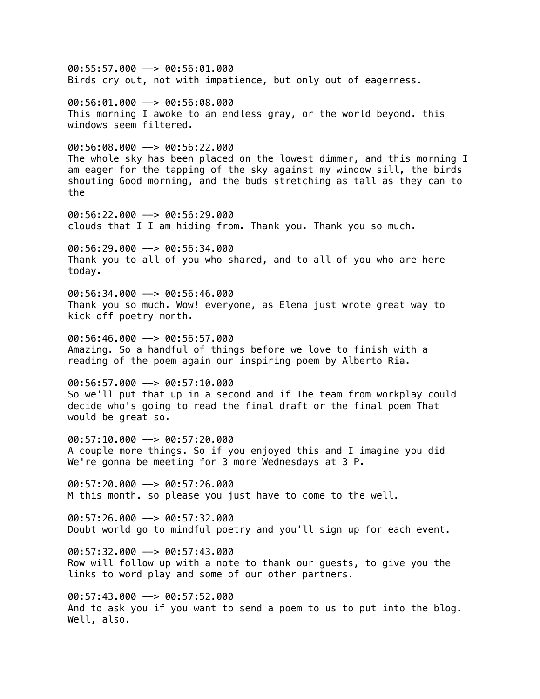00:55:57.000 --> 00:56:01.000 Birds cry out, not with impatience, but only out of eagerness. 00:56:01.000 --> 00:56:08.000 This morning I awoke to an endless gray, or the world beyond. this windows seem filtered. 00:56:08.000 --> 00:56:22.000 The whole sky has been placed on the lowest dimmer, and this morning I am eager for the tapping of the sky against my window sill, the birds shouting Good morning, and the buds stretching as tall as they can to the 00:56:22.000 --> 00:56:29.000 clouds that I I am hiding from. Thank you. Thank you so much. 00:56:29.000 --> 00:56:34.000 Thank you to all of you who shared, and to all of you who are here today. 00:56:34.000 --> 00:56:46.000 Thank you so much. Wow! everyone, as Elena just wrote great way to kick off poetry month.  $00:56:46.000$   $\rightarrow$  00:56:57.000 Amazing. So a handful of things before we love to finish with a reading of the poem again our inspiring poem by Alberto Ria. 00:56:57.000 --> 00:57:10.000 So we'll put that up in a second and if The team from workplay could decide who's going to read the final draft or the final poem That would be great so. 00:57:10.000 --> 00:57:20.000 A couple more things. So if you enjoyed this and I imagine you did We're gonna be meeting for 3 more Wednesdays at 3 P. 00:57:20.000 --> 00:57:26.000 M this month. so please you just have to come to the well. 00:57:26.000 --> 00:57:32.000 Doubt world go to mindful poetry and you'll sign up for each event. 00:57:32.000 --> 00:57:43.000 Row will follow up with a note to thank our guests, to give you the links to word play and some of our other partners. 00:57:43.000 --> 00:57:52.000 And to ask you if you want to send a poem to us to put into the blog. Well, also.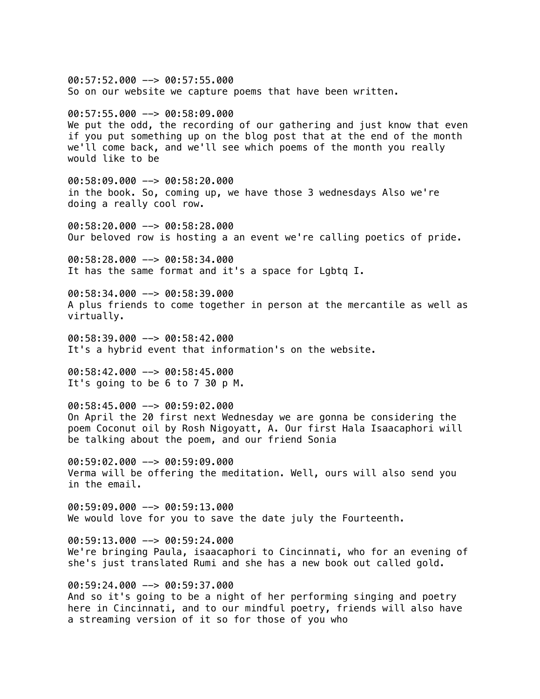$00:57:52.000$  -->  $00:57:55.000$ So on our website we capture poems that have been written. 00:57:55.000 --> 00:58:09.000 We put the odd, the recording of our gathering and just know that even if you put something up on the blog post that at the end of the month we'll come back, and we'll see which poems of the month you really would like to be 00:58:09.000 --> 00:58:20.000 in the book. So, coming up, we have those 3 wednesdays Also we're doing a really cool row. 00:58:20.000 --> 00:58:28.000 Our beloved row is hosting a an event we're calling poetics of pride. 00:58:28.000 --> 00:58:34.000 It has the same format and it's a space for Lgbtq I. 00:58:34.000 --> 00:58:39.000 A plus friends to come together in person at the mercantile as well as virtually. 00:58:39.000 --> 00:58:42.000 It's a hybrid event that information's on the website. 00:58:42.000 --> 00:58:45.000 It's going to be 6 to 7 30 p M. 00:58:45.000 --> 00:59:02.000 On April the 20 first next Wednesday we are gonna be considering the poem Coconut oil by Rosh Nigoyatt, A. Our first Hala Isaacaphori will be talking about the poem, and our friend Sonia 00:59:02.000 --> 00:59:09.000 Verma will be offering the meditation. Well, ours will also send you in the email. 00:59:09.000 --> 00:59:13.000 We would love for you to save the date july the Fourteenth. 00:59:13.000 --> 00:59:24.000 We're bringing Paula, isaacaphori to Cincinnati, who for an evening of she's just translated Rumi and she has a new book out called gold. 00:59:24.000 --> 00:59:37.000 And so it's going to be a night of her performing singing and poetry here in Cincinnati, and to our mindful poetry, friends will also have a streaming version of it so for those of you who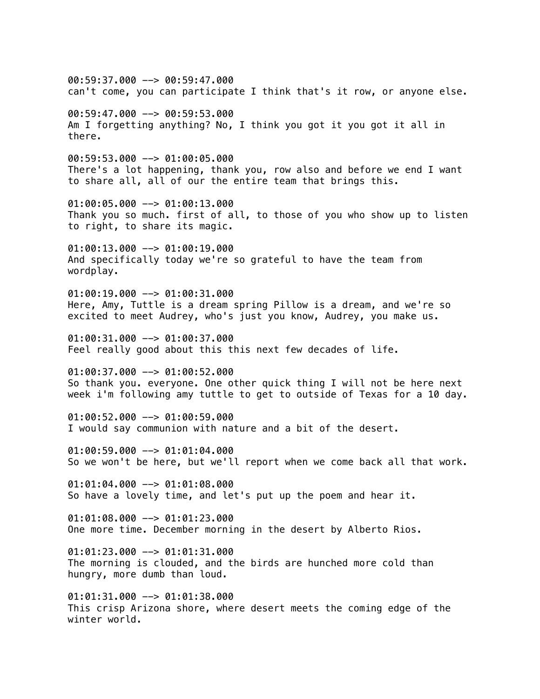$00:59:37.000$  -->  $00:59:47.000$ can't come, you can participate I think that's it row, or anyone else. 00:59:47.000 --> 00:59:53.000 Am I forgetting anything? No, I think you got it you got it all in there. 00:59:53.000 --> 01:00:05.000 There's a lot happening, thank you, row also and before we end I want to share all, all of our the entire team that brings this. 01:00:05.000 --> 01:00:13.000 Thank you so much. first of all, to those of you who show up to listen to right, to share its magic. 01:00:13.000 --> 01:00:19.000 And specifically today we're so grateful to have the team from wordplay.  $01:00:19.000$  -->  $01:00:31.000$ Here, Amy, Tuttle is a dream spring Pillow is a dream, and we're so excited to meet Audrey, who's just you know, Audrey, you make us.  $01:00:31.000$  -->  $01:00:37.000$ Feel really good about this this next few decades of life.  $01:00:37.000$  -->  $01:00:52.000$ So thank you. everyone. One other quick thing I will not be here next week i'm following amy tuttle to get to outside of Texas for a 10 day. 01:00:52.000 --> 01:00:59.000 I would say communion with nature and a bit of the desert. 01:00:59.000 --> 01:01:04.000 So we won't be here, but we'll report when we come back all that work. 01:01:04.000 --> 01:01:08.000 So have a lovely time, and let's put up the poem and hear it. 01:01:08.000 --> 01:01:23.000 One more time. December morning in the desert by Alberto Rios. 01:01:23.000 --> 01:01:31.000 The morning is clouded, and the birds are hunched more cold than hungry, more dumb than loud. 01:01:31.000 --> 01:01:38.000 This crisp Arizona shore, where desert meets the coming edge of the winter world.